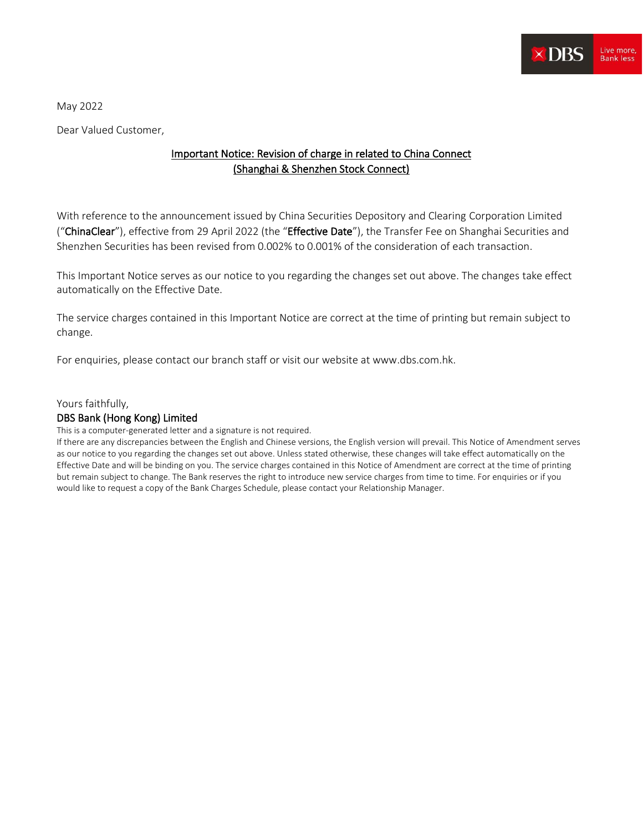

May 2022

Dear Valued Customer,

## Important Notice: Revision of charge in related to China Connect (Shanghai & Shenzhen Stock Connect)

With reference to the announcement issued by China Securities Depository and Clearing Corporation Limited ("ChinaClear"), effective from 29 April 2022 (the "Effective Date"), the Transfer Fee on Shanghai Securities and Shenzhen Securities has been revised from 0.002% to 0.001% of the consideration of each transaction.

This Important Notice serves as our notice to you regarding the changes set out above. The changes take effect automatically on the Effective Date.

The service charges contained in this Important Notice are correct at the time of printing but remain subject to change.

For enquiries, please contact our branch staff or visit our website at www.dbs.com.hk.

Yours faithfully,

## DBS Bank (Hong Kong) Limited

This is a computer-generated letter and a signature is not required.

If there are any discrepancies between the English and Chinese versions, the English version will prevail. This Notice of Amendment serves as our notice to you regarding the changes set out above. Unless stated otherwise, these changes will take effect automatically on the Effective Date and will be binding on you. The service charges contained in this Notice of Amendment are correct at the time of printing but remain subject to change. The Bank reserves the right to introduce new service charges from time to time. For enquiries or if you would like to request a copy of the Bank Charges Schedule, please contact your Relationship Manager.